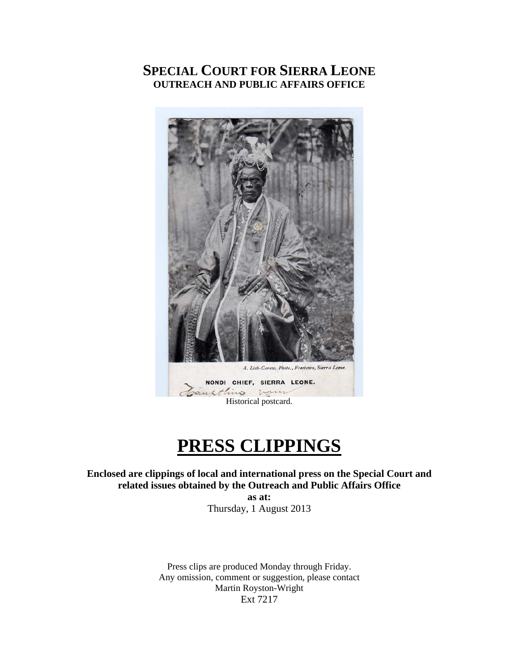## **SPECIAL COURT FOR SIERRA LEONE OUTREACH AND PUBLIC AFFAIRS OFFICE**



# **PRESS CLIPPINGS**

**Enclosed are clippings of local and international press on the Special Court and related issues obtained by the Outreach and Public Affairs Office** 

> **as at:**  Thursday, 1 August 2013

Press clips are produced Monday through Friday. Any omission, comment or suggestion, please contact Martin Royston-Wright Ext 7217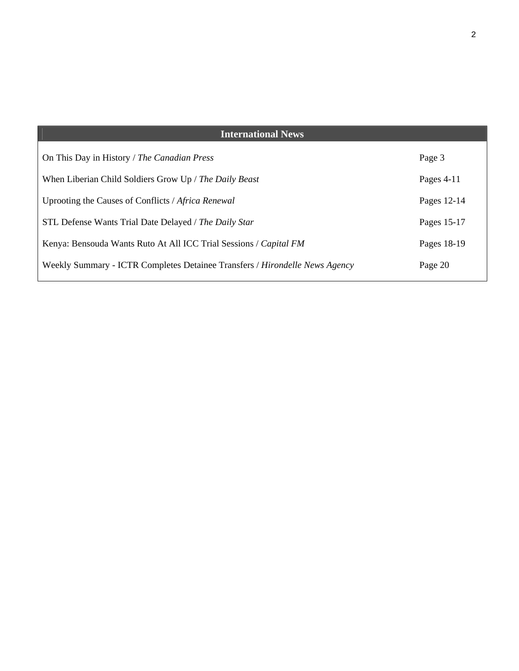## **International News**

| On This Day in History / The Canadian Press                                 | Page 3       |
|-----------------------------------------------------------------------------|--------------|
| When Liberian Child Soldiers Grow Up / The Daily Beast                      | Pages $4-11$ |
| Uprooting the Causes of Conflicts / Africa Renewal                          | Pages 12-14  |
| STL Defense Wants Trial Date Delayed / The Daily Star                       | Pages 15-17  |
| Kenya: Bensouda Wants Ruto At All ICC Trial Sessions / Capital FM           | Pages 18-19  |
| Weekly Summary - ICTR Completes Detainee Transfers / Hirondelle News Agency | Page 20      |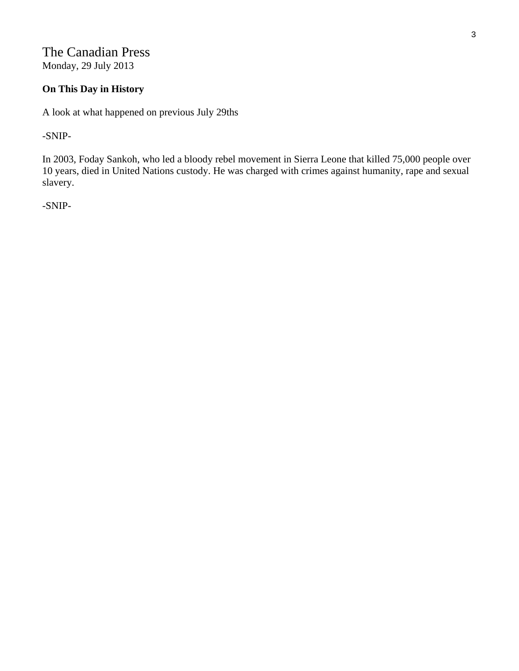The Canadian Press Monday, 29 July 2013

## **On This Day in History**

A look at what happened on previous July 29ths

-SNIP-

In 2003, Foday Sankoh, who led a bloody rebel movement in Sierra Leone that killed 75,000 people over 10 years, died in United Nations custody. He was charged with crimes against humanity, rape and sexual slavery.

-SNIP-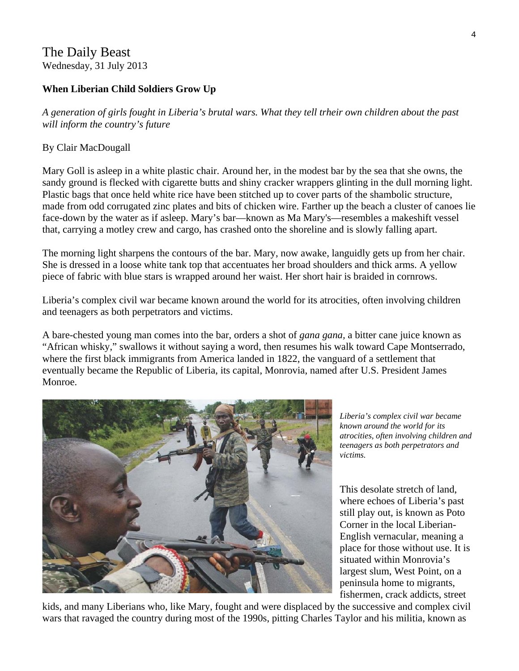## The Daily Beast Wednesday, 31 July 2013

## **When Liberian Child Soldiers Grow Up**

*A generation of girls fought in Liberia's brutal wars. What they tell trheir own children about the past will inform the country's future* 

### By Clair MacDougall

Mary Goll is asleep in a white plastic chair. Around her, in the modest bar by the sea that she owns, the sandy ground is flecked with cigarette butts and shiny cracker wrappers glinting in the dull morning light. Plastic bags that once held white rice have been stitched up to cover parts of the shambolic structure, made from odd corrugated zinc plates and bits of chicken wire. Farther up the beach a cluster of canoes lie face-down by the water as if asleep. Mary's bar—known as Ma Mary's—resembles a makeshift vessel that, carrying a motley crew and cargo, has crashed onto the shoreline and is slowly falling apart.

The morning light sharpens the contours of the bar. Mary, now awake, languidly gets up from her chair. She is dressed in a loose white tank top that accentuates her broad shoulders and thick arms. A yellow piece of fabric with blue stars is wrapped around her waist. Her short hair is braided in cornrows.

Liberia's complex civil war became known around the world for its atrocities, often involving children and teenagers as both perpetrators and victims.

A bare-chested young man comes into the bar, orders a shot of *gana gana,* a bitter cane juice known as "African whisky," swallows it without saying a word, then resumes his walk toward Cape Montserrado, where the first black immigrants from America landed in 1822, the vanguard of a settlement that eventually became the Republic of Liberia, its capital, Monrovia, named after U.S. President James Monroe.



*Liberia's complex civil war became known around the world for its atrocities, often involving children and teenagers as both perpetrators and victims.* 

This desolate stretch of land, where echoes of Liberia's past still play out, is known as Poto Corner in the local Liberian-English vernacular, meaning a place for those without use. It is situated within Monrovia's largest slum, West Point, on a peninsula home to migrants, fishermen, crack addicts, street

kids, and many Liberians who, like Mary, fought and were displaced by the successive and complex civil wars that ravaged the country during most of the 1990s, pitting Charles Taylor and his militia, known as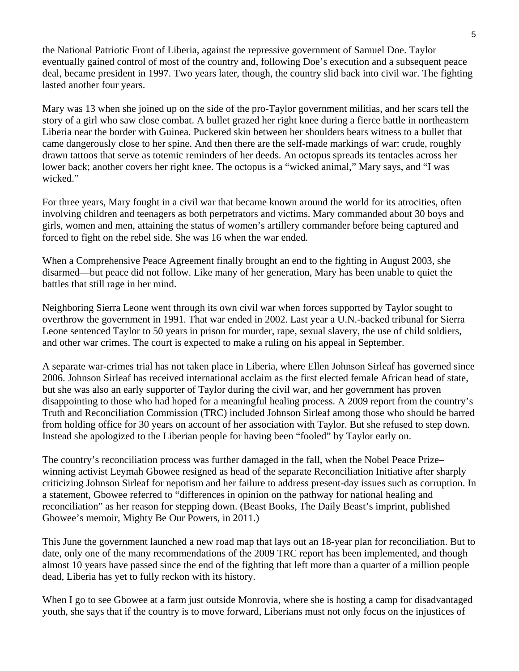the National Patriotic Front of Liberia, against the repressive government of Samuel Doe. Taylor eventually gained control of most of the country and, following Doe's execution and a subsequent peace deal, became president in 1997. Two years later, though, the country slid back into civil war. The fighting lasted another four years.

Mary was 13 when she joined up on the side of the pro-Taylor government militias, and her scars tell the story of a girl who saw close combat. A bullet grazed her right knee during a fierce battle in northeastern Liberia near the border with Guinea. Puckered skin between her shoulders bears witness to a bullet that came dangerously close to her spine. And then there are the self-made markings of war: crude, roughly drawn tattoos that serve as totemic reminders of her deeds. An octopus spreads its tentacles across her lower back; another covers her right knee. The octopus is a "wicked animal," Mary says, and "I was wicked."

For three years, Mary fought in a civil war that became known around the world for its atrocities, often involving children and teenagers as both perpetrators and victims. Mary commanded about 30 boys and girls, women and men, attaining the status of women's artillery commander before being captured and forced to fight on the rebel side. She was 16 when the war ended.

When a Comprehensive Peace Agreement finally brought an end to the fighting in August 2003, she disarmed—but peace did not follow. Like many of her generation, Mary has been unable to quiet the battles that still rage in her mind.

Neighboring Sierra Leone went through its own civil war when forces supported by Taylor sought to overthrow the government in 1991. That war ended in 2002. Last year a U.N.-backed tribunal for Sierra Leone sentenced Taylor to 50 years in prison for murder, rape, sexual slavery, the use of child soldiers, and other war crimes. The court is expected to make a ruling on his appeal in September.

A separate war-crimes trial has not taken place in Liberia, where Ellen Johnson Sirleaf has governed since 2006. Johnson Sirleaf has received international acclaim as the first elected female African head of state, but she was also an early supporter of Taylor during the civil war, and her government has proven disappointing to those who had hoped for a meaningful healing process. A 2009 report from the country's Truth and Reconciliation Commission (TRC) included Johnson Sirleaf among those who should be barred from holding office for 30 years on account of her association with Taylor. But she refused to step down. Instead she apologized to the Liberian people for having been "fooled" by Taylor early on.

The country's reconciliation process was further damaged in the fall, when the Nobel Peace Prize– winning activist Leymah Gbowee resigned as head of the separate Reconciliation Initiative after sharply criticizing Johnson Sirleaf for nepotism and her failure to address present-day issues such as corruption. In a statement, Gbowee referred to "differences in opinion on the pathway for national healing and reconciliation" as her reason for stepping down. (Beast Books, The Daily Beast's imprint, published Gbowee's memoir, Mighty Be Our Powers, in 2011.)

This June the government launched a new road map that lays out an 18-year plan for reconciliation. But to date, only one of the many recommendations of the 2009 TRC report has been implemented, and though almost 10 years have passed since the end of the fighting that left more than a quarter of a million people dead, Liberia has yet to fully reckon with its history.

When I go to see Gbowee at a farm just outside Monrovia, where she is hosting a camp for disadvantaged youth, she says that if the country is to move forward, Liberians must not only focus on the injustices of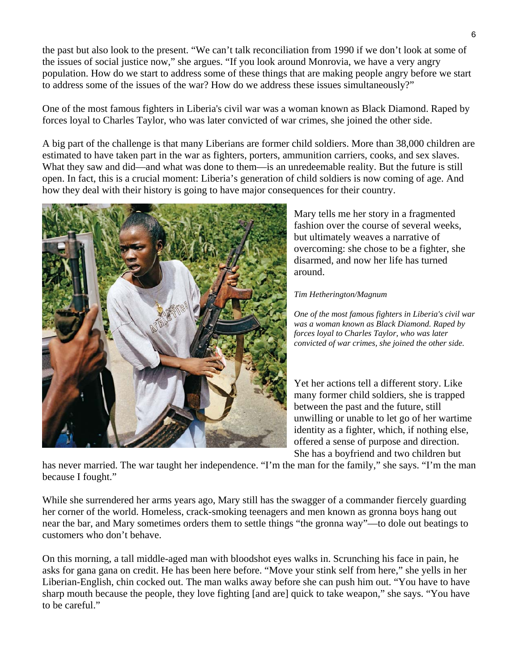the past but also look to the present. "We can't talk reconciliation from 1990 if we don't look at some of the issues of social justice now," she argues. "If you look around Monrovia, we have a very angry population. How do we start to address some of these things that are making people angry before we start to address some of the issues of the war? How do we address these issues simultaneously?"

One of the most famous fighters in Liberia's civil war was a woman known as Black Diamond. Raped by forces loyal to Charles Taylor, who was later convicted of war crimes, she joined the other side.

A big part of the challenge is that many Liberians are former child soldiers. More than 38,000 children are estimated to have taken part in the war as fighters, porters, ammunition carriers, cooks, and sex slaves. What they saw and did—and what was done to them—is an unredeemable reality. But the future is still open. In fact, this is a crucial moment: Liberia's generation of child soldiers is now coming of age. And how they deal with their history is going to have major consequences for their country.



Mary tells me her story in a fragmented fashion over the course of several weeks, but ultimately weaves a narrative of overcoming: she chose to be a fighter, she disarmed, and now her life has turned around.

#### *Tim Hetherington/Magnum*

*One of the most famous fighters in Liberia's civil war was a woman known as Black Diamond. Raped by forces loyal to Charles Taylor, who was later convicted of war crimes, she joined the other side.* 

Yet her actions tell a different story. Like many former child soldiers, she is trapped between the past and the future, still unwilling or unable to let go of her wartime identity as a fighter, which, if nothing else, offered a sense of purpose and direction. She has a boyfriend and two children but

has never married. The war taught her independence. "I'm the man for the family," she says. "I'm the man because I fought."

While she surrendered her arms years ago, Mary still has the swagger of a commander fiercely guarding her corner of the world. Homeless, crack-smoking teenagers and men known as gronna boys hang out near the bar, and Mary sometimes orders them to settle things "the gronna way"—to dole out beatings to customers who don't behave.

On this morning, a tall middle-aged man with bloodshot eyes walks in. Scrunching his face in pain, he asks for gana gana on credit. He has been here before. "Move your stink self from here," she yells in her Liberian-English, chin cocked out. The man walks away before she can push him out. "You have to have sharp mouth because the people, they love fighting [and are] quick to take weapon," she says. "You have to be careful."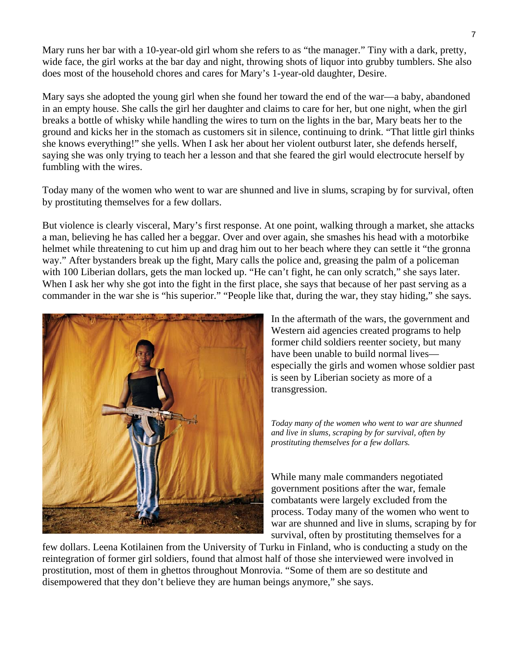Mary runs her bar with a 10-year-old girl whom she refers to as "the manager." Tiny with a dark, pretty, wide face, the girl works at the bar day and night, throwing shots of liquor into grubby tumblers. She also does most of the household chores and cares for Mary's 1-year-old daughter, Desire.

Mary says she adopted the young girl when she found her toward the end of the war—a baby, abandoned in an empty house. She calls the girl her daughter and claims to care for her, but one night, when the girl breaks a bottle of whisky while handling the wires to turn on the lights in the bar, Mary beats her to the ground and kicks her in the stomach as customers sit in silence, continuing to drink. "That little girl thinks she knows everything!" she yells. When I ask her about her violent outburst later, she defends herself, saying she was only trying to teach her a lesson and that she feared the girl would electrocute herself by fumbling with the wires.

Today many of the women who went to war are shunned and live in slums, scraping by for survival, often by prostituting themselves for a few dollars.

But violence is clearly visceral, Mary's first response. At one point, walking through a market, she attacks a man, believing he has called her a beggar. Over and over again, she smashes his head with a motorbike helmet while threatening to cut him up and drag him out to her beach where they can settle it "the gronna way." After bystanders break up the fight, Mary calls the police and, greasing the palm of a policeman with 100 Liberian dollars, gets the man locked up. "He can't fight, he can only scratch," she says later. When I ask her why she got into the fight in the first place, she says that because of her past serving as a commander in the war she is "his superior." "People like that, during the war, they stay hiding," she says.



In the aftermath of the wars, the government and Western aid agencies created programs to help former child soldiers reenter society, but many have been unable to build normal lives especially the girls and women whose soldier past is seen by Liberian society as more of a transgression.

*Today many of the women who went to war are shunned and live in slums, scraping by for survival, often by prostituting themselves for a few dollars.* 

While many male commanders negotiated government positions after the war, female combatants were largely excluded from the process. Today many of the women who went to war are shunned and live in slums, scraping by f or survival, often by prostituting themselves for a

few dollars. Leena Kotilainen from the University of Turku in Finland, who is conducting a study on the reintegration of former girl soldiers, found that almost half of those she interviewed were involved in prostitution, most of them in ghettos throughout Monrovia. "Some of them are so destitute and disempowered that they don't believe they are human beings anymore," she says.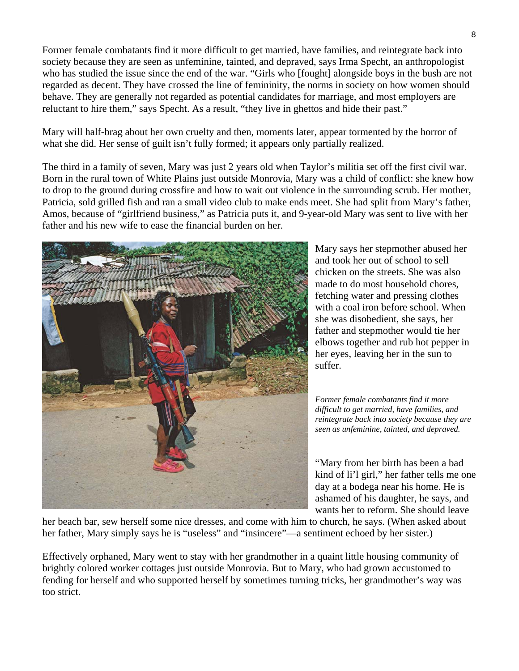Former female combatants find it more difficult to get married, have families, and reintegrate back into society because they are seen as unfeminine, tainted, and depraved, says Irma Specht, an anthropologist who has studied the issue since the end of the war. "Girls who [fought] alongside boys in the bush are not regarded as decent. They have crossed the line of femininity, the norms in society on how women should behave. They are generally not regarded as potential candidates for marriage, and most employers are reluctant to hire them," says Specht. As a result, "they live in ghettos and hide their past."

Mary will half-brag about her own cruelty and then, moments later, appear tormented by the horror of what she did. Her sense of guilt isn't fully formed; it appears only partially realized.

The third in a family of seven, Mary was just 2 years old when Taylor's militia set off the first civil war. Born in the rural town of White Plains just outside Monrovia, Mary was a child of conflict: she knew how to drop to the ground during crossfire and how to wait out violence in the surrounding scrub. Her mother, Patricia, sold grilled fish and ran a small video club to make ends meet. She had split from Mary's father, Amos, because of "girlfriend business," as Patricia puts it, and 9-year-old Mary was sent to live with her father and his new wife to ease the financial burden on her.



Mary says her stepmother abused her and took her out of school to sell chicken on the streets. She was also made to do most household chores, fetching water and pressing clothes with a coal iron before school. When she was disobedient, she says, her father and stepmother would tie her elbows together and rub hot pepper in her eyes, leaving her in the sun to suffer.

*Former female combatants find it more difficult to get married, have families, and reintegrate back into society because they are seen as unfeminine, tainted, and depraved.* 

"Mary from her birth has been a bad kind of li'l girl," her father tells me o ne day at a bodega near his home. He is ashamed of his daughter, he says, and wants her to reform. She should leave

her beach bar, sew herself some nice dresses, and come with him to church, he says. (When asked about her father, Mary simply says he is "useless" and "insincere"—a sentiment echoed by her sister.)

Effectively orphaned, Mary went to stay with her grandmother in a quaint little housing community of brightly colored worker cottages just outside Monrovia. But to Mary, who had grown accustomed to fending for herself and who supported herself by sometimes turning tricks, her grandmother's way was too strict.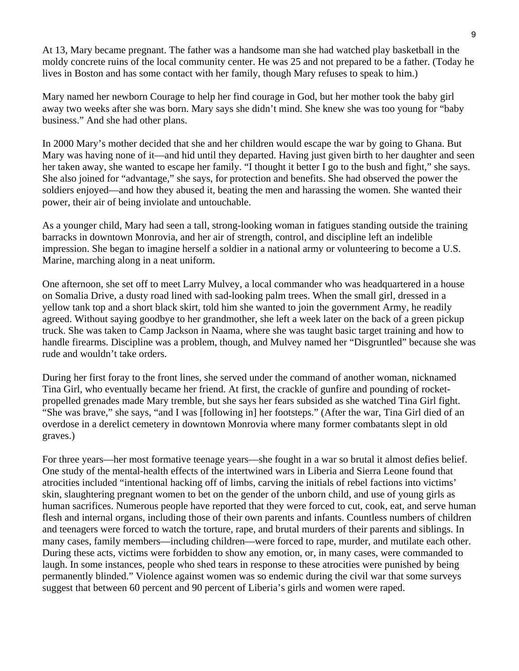At 13, Mary became pregnant. The father was a handsome man she had watched play basketball in the moldy concrete ruins of the local community center. He was 25 and not prepared to be a father. (Today he lives in Boston and has some contact with her family, though Mary refuses to speak to him.)

Mary named her newborn Courage to help her find courage in God, but her mother took the baby girl away two weeks after she was born. Mary says she didn't mind. She knew she was too young for "baby business." And she had other plans.

In 2000 Mary's mother decided that she and her children would escape the war by going to Ghana. But Mary was having none of it—and hid until they departed. Having just given birth to her daughter and seen her taken away, she wanted to escape her family. "I thought it better I go to the bush and fight," she says. She also joined for "advantage," she says, for protection and benefits. She had observed the power the soldiers enjoyed—and how they abused it, beating the men and harassing the women. She wanted their power, their air of being inviolate and untouchable.

As a younger child, Mary had seen a tall, strong-looking woman in fatigues standing outside the training barracks in downtown Monrovia, and her air of strength, control, and discipline left an indelible impression. She began to imagine herself a soldier in a national army or volunteering to become a U.S. Marine, marching along in a neat uniform.

One afternoon, she set off to meet Larry Mulvey, a local commander who was headquartered in a house on Somalia Drive, a dusty road lined with sad-looking palm trees. When the small girl, dressed in a yellow tank top and a short black skirt, told him she wanted to join the government Army, he readily agreed. Without saying goodbye to her grandmother, she left a week later on the back of a green pickup truck. She was taken to Camp Jackson in Naama, where she was taught basic target training and how to handle firearms. Discipline was a problem, though, and Mulvey named her "Disgruntled" because she was rude and wouldn't take orders.

During her first foray to the front lines, she served under the command of another woman, nicknamed Tina Girl, who eventually became her friend. At first, the crackle of gunfire and pounding of rocketpropelled grenades made Mary tremble, but she says her fears subsided as she watched Tina Girl fight. "She was brave," she says, "and I was [following in] her footsteps." (After the war, Tina Girl died of an overdose in a derelict cemetery in downtown Monrovia where many former combatants slept in old graves.)

For three years—her most formative teenage years—she fought in a war so brutal it almost defies belief. One study of the mental-health effects of the intertwined wars in Liberia and Sierra Leone found that atrocities included "intentional hacking off of limbs, carving the initials of rebel factions into victims' skin, slaughtering pregnant women to bet on the gender of the unborn child, and use of young girls as human sacrifices. Numerous people have reported that they were forced to cut, cook, eat, and serve human flesh and internal organs, including those of their own parents and infants. Countless numbers of children and teenagers were forced to watch the torture, rape, and brutal murders of their parents and siblings. In many cases, family members—including children—were forced to rape, murder, and mutilate each other. During these acts, victims were forbidden to show any emotion, or, in many cases, were commanded to laugh. In some instances, people who shed tears in response to these atrocities were punished by being permanently blinded." Violence against women was so endemic during the civil war that some surveys suggest that between 60 percent and 90 percent of Liberia's girls and women were raped.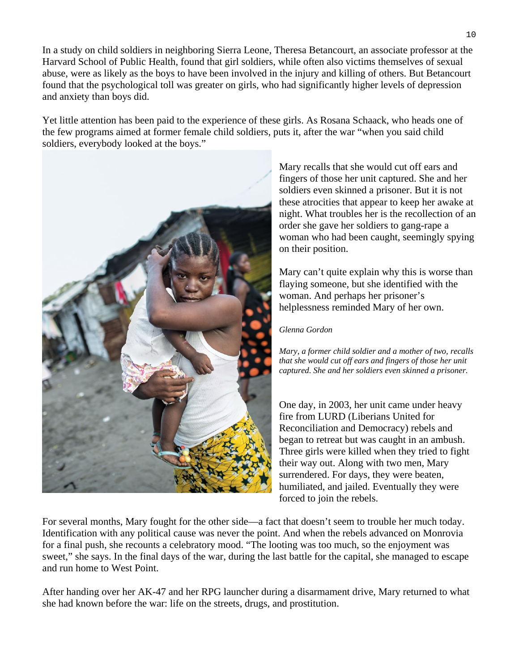In a study on child soldiers in neighboring Sierra Leone, Theresa Betancourt, an associate professor at the Harvard School of Public Health, found that girl soldiers, while often also victims themselves of sexual abuse, were as likely as the boys to have been involved in the injury and killing of others. But Betancourt found that the psychological toll was greater on girls, who had significantly higher levels of depression and anxiety than boys did.

soldiers, everybody looked at the boys." Yet little attention has been paid to the experience of these girls. As Rosana Schaack, who heads one of the few programs aimed at former female child soldiers, puts it, after the war "when you said child



night. What troubles her is the recollection of an Mary recalls that she would cut off ears and fingers of those her unit captured. She and her soldiers even skinned a prisoner. But it is not these atrocities that appear to keep her awake at order she gave her soldiers to gang-rape a woman who had been caught, seemingly spying on their position.

Mary can't quite explain why this is worse than flaying someone, but she identified with the woman. And perhaps her prisoner's helplessness reminded Mary of her own.

#### *Glenna Gordon*

*Mary, a former child soldier and a mother of two, recalls that she would cut off ears and fingers of those her unit captured. She and her soldiers even skinned a prisoner.* 

One day, in 2003, her unit came under heavy fire from LURD (Liberians United for Reconciliation and Democracy) rebels and began to retreat but was caught in an ambush. Three girls were killed when they tried to fight their way out. Along with two men, Mary surrendered. For days, they were beaten, humiliated, and jailed. Eventually they were forced to join the rebels.

For several months, Mary fought for the other side—a fact that doesn't seem to trouble her much today. Identification with any political cause was never the point. And when the rebels advanced on Monrovia for a final push, she recounts a celebratory mood. "The looting was too much, so the enjoyment was sweet," she says. In the final days of the war, during the last battle for the capital, she managed to escape and run home to West Point.

After handing over her AK-47 and her RPG launcher during a disarmament drive, Mary returned to what she had known before the war: life on the streets, drugs, and prostitution.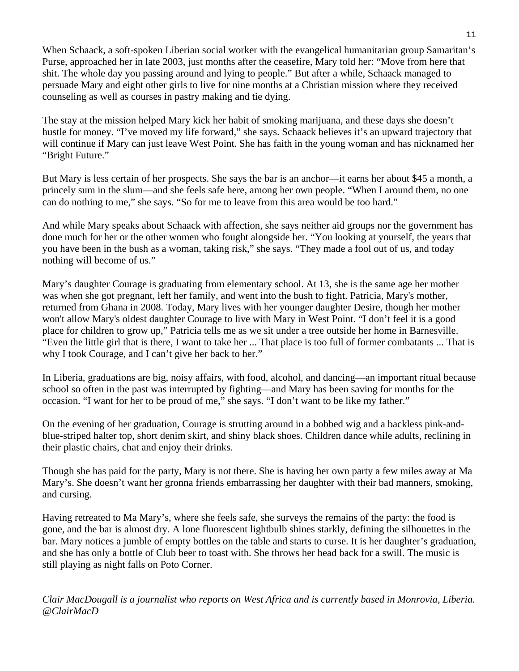When Schaack, a soft-spoken Liberian social worker with the evangelical humanitarian group Samaritan's Purse, approached her in late 2003, just months after the ceasefire, Mary told her: "Move from here that shit. The whole day you passing around and lying to people." But after a while, Schaack managed to persuade Mary and eight other girls to live for nine months at a Christian mission where they received counseling as well as courses in pastry making and tie dying.

The stay at the mission helped Mary kick her habit of smoking marijuana, and these days she doesn't hustle for money. "I've moved my life forward," she says. Schaack believes it's an upward trajectory that will continue if Mary can just leave West Point. She has faith in the young woman and has nicknamed her "Bright Future."

But Mary is less certain of her prospects. She says the bar is an anchor—it earns her about \$45 a month, a princely sum in the slum—and she feels safe here, among her own people. "When I around them, no one can do nothing to me," she says. "So for me to leave from this area would be too hard."

And while Mary speaks about Schaack with affection, she says neither aid groups nor the government has done much for her or the other women who fought alongside her. "You looking at yourself, the years that you have been in the bush as a woman, taking risk," she says. "They made a fool out of us, and today nothing will become of us."

Mary's daughter Courage is graduating from elementary school. At 13, she is the same age her mother was when she got pregnant, left her family, and went into the bush to fight. Patricia, Mary's mother, returned from Ghana in 2008. Today, Mary lives with her younger daughter Desire, though her mother won't allow Mary's oldest daughter Courage to live with Mary in West Point. "I don't feel it is a good place for children to grow up," Patricia tells me as we sit under a tree outside her home in Barnesville. "Even the little girl that is there, I want to take her ... That place is too full of former combatants ... That is why I took Courage, and I can't give her back to her."

In Liberia, graduations are big, noisy affairs, with food, alcohol, and dancing—an important ritual because school so often in the past was interrupted by fighting—and Mary has been saving for months for the occasion. "I want for her to be proud of me," she says. "I don't want to be like my father."

On the evening of her graduation, Courage is strutting around in a bobbed wig and a backless pink-andblue-striped halter top, short denim skirt, and shiny black shoes. Children dance while adults, reclining in their plastic chairs, chat and enjoy their drinks.

Though she has paid for the party, Mary is not there. She is having her own party a few miles away at Ma Mary's. She doesn't want her gronna friends embarrassing her daughter with their bad manners, smoking, and cursing.

Having retreated to Ma Mary's, where she feels safe, she surveys the remains of the party: the food is gone, and the bar is almost dry. A lone fluorescent lightbulb shines starkly, defining the silhouettes in the bar. Mary notices a jumble of empty bottles on the table and starts to curse. It is her daughter's graduation, and she has only a bottle of Club beer to toast with. She throws her head back for a swill. The music is still playing as night falls on Poto Corner.

*Clair MacDougall is a journalist who reports on West Africa and is currently based in Monrovia, Liberia. @ClairMacD*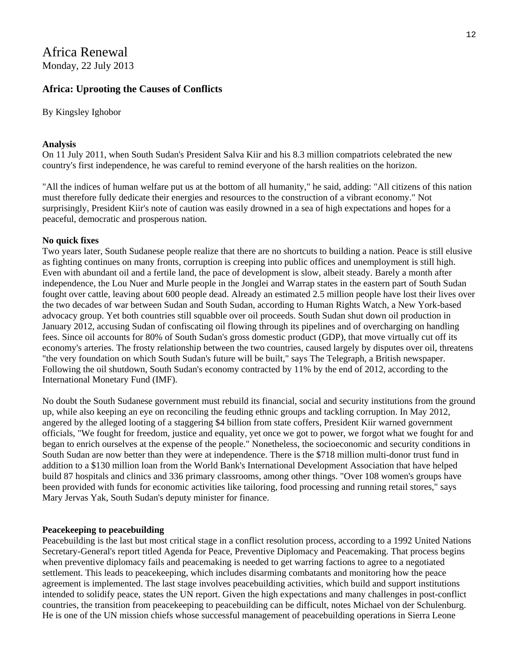## Africa Renewal Monday, 22 July 2013

#### **Africa: Uprooting the Causes of Conflicts**

By Kingsley Ighobor

#### **Analysis**

On 11 July 2011, when South Sudan's President Salva Kiir and his 8.3 million compatriots celebrated the new country's first independence, he was careful to remind everyone of the harsh realities on the horizon.

"All the indices of human welfare put us at the bottom of all humanity," he said, adding: "All citizens of this nation must therefore fully dedicate their energies and resources to the construction of a vibrant economy." Not surprisingly, President Kiir's note of caution was easily drowned in a sea of high expectations and hopes for a peaceful, democratic and prosperous nation.

#### **No quick fixes**

Two years later, South Sudanese people realize that there are no shortcuts to building a nation. Peace is still elusive as fighting continues on many fronts, corruption is creeping into public offices and unemployment is still high. Even with abundant oil and a fertile land, the pace of development is slow, albeit steady. Barely a month after independence, the Lou Nuer and Murle people in the Jonglei and Warrap states in the eastern part of South Sudan fought over cattle, leaving about 600 people dead. Already an estimated 2.5 million people have lost their lives over the two decades of war between Sudan and South Sudan, according to Human Rights Watch, a New York-based advocacy group. Yet both countries still squabble over oil proceeds. South Sudan shut down oil production in January 2012, accusing Sudan of confiscating oil flowing through its pipelines and of overcharging on handling fees. Since oil accounts for 80% of South Sudan's gross domestic product (GDP), that move virtually cut off its economy's arteries. The frosty relationship between the two countries, caused largely by disputes over oil, threatens "the very foundation on which South Sudan's future will be built," says The Telegraph, a British newspaper. Following the oil shutdown, South Sudan's economy contracted by 11% by the end of 2012, according to the International Monetary Fund (IMF).

No doubt the South Sudanese government must rebuild its financial, social and security institutions from the ground up, while also keeping an eye on reconciling the feuding ethnic groups and tackling corruption. In May 2012, angered by the alleged looting of a staggering \$4 billion from state coffers, President Kiir warned government officials, "We fought for freedom, justice and equality, yet once we got to power, we forgot what we fought for and began to enrich ourselves at the expense of the people." Nonetheless, the socioeconomic and security conditions in South Sudan are now better than they were at independence. There is the \$718 million multi-donor trust fund in addition to a \$130 million loan from the World Bank's International Development Association that have helped build 87 hospitals and clinics and 336 primary classrooms, among other things. "Over 108 women's groups have been provided with funds for economic activities like tailoring, food processing and running retail stores," says Mary Jervas Yak, South Sudan's deputy minister for finance.

#### **Peacekeeping to peacebuilding**

Peacebuilding is the last but most critical stage in a conflict resolution process, according to a 1992 United Nations Secretary-General's report titled Agenda for Peace, Preventive Diplomacy and Peacemaking. That process begins when preventive diplomacy fails and peacemaking is needed to get warring factions to agree to a negotiated settlement. This leads to peacekeeping, which includes disarming combatants and monitoring how the peace agreement is implemented. The last stage involves peacebuilding activities, which build and support institutions intended to solidify peace, states the UN report. Given the high expectations and many challenges in post-conflict countries, the transition from peacekeeping to peacebuilding can be difficult, notes Michael von der Schulenburg. He is one of the UN mission chiefs whose successful management of peacebuilding operations in Sierra Leone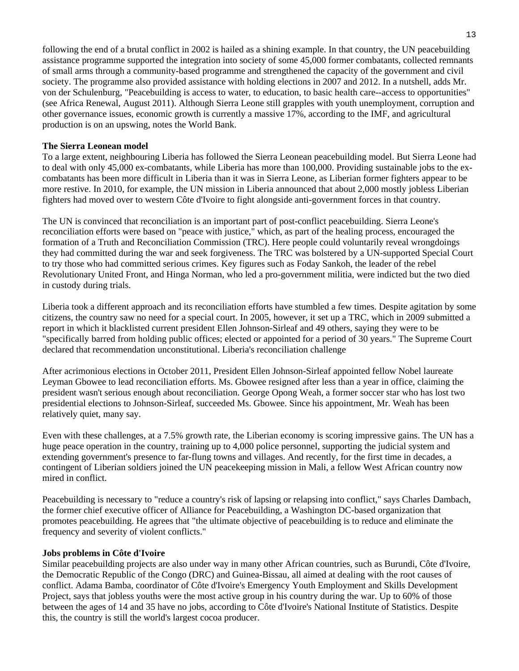following the end of a brutal conflict in 2002 is hailed as a shining example. In that country, the UN peacebuilding assistance programme supported the integration into society of some 45,000 former combatants, collected remnants of small arms through a community-based programme and strengthened the capacity of the government and civil society. The programme also provided assistance with holding elections in 2007 and 2012. In a nutshell, adds Mr. von der Schulenburg, "Peacebuilding is access to water, to education, to basic health care--access to opportunities" (see Africa Renewal, August 2011). Although Sierra Leone still grapples with youth unemployment, corruption and other governance issues, economic growth is currently a massive 17%, according to the IMF, and agricultural production is on an upswing, notes the World Bank.

#### **The Sierra Leonean model**

To a large extent, neighbouring Liberia has followed the Sierra Leonean peacebuilding model. But Sierra Leone had to deal with only 45,000 ex-combatants, while Liberia has more than 100,000. Providing sustainable jobs to the excombatants has been more difficult in Liberia than it was in Sierra Leone, as Liberian former fighters appear to be more restive. In 2010, for example, the UN mission in Liberia announced that about 2,000 mostly jobless Liberian fighters had moved over to western Côte d'Ivoire to fight alongside anti-government forces in that country.

The UN is convinced that reconciliation is an important part of post-conflict peacebuilding. Sierra Leone's reconciliation efforts were based on "peace with justice," which, as part of the healing process, encouraged the formation of a Truth and Reconciliation Commission (TRC). Here people could voluntarily reveal wrongdoings they had committed during the war and seek forgiveness. The TRC was bolstered by a UN-supported Special Court to try those who had committed serious crimes. Key figures such as Foday Sankoh, the leader of the rebel Revolutionary United Front, and Hinga Norman, who led a pro-government militia, were indicted but the two died in custody during trials.

Liberia took a different approach and its reconciliation efforts have stumbled a few times. Despite agitation by some citizens, the country saw no need for a special court. In 2005, however, it set up a TRC, which in 2009 submitted a report in which it blacklisted current president Ellen Johnson-Sirleaf and 49 others, saying they were to be "specifically barred from holding public offices; elected or appointed for a period of 30 years." The Supreme Court declared that recommendation unconstitutional. Liberia's reconciliation challenge

After acrimonious elections in October 2011, President Ellen Johnson-Sirleaf appointed fellow Nobel laureate Leyman Gbowee to lead reconciliation efforts. Ms. Gbowee resigned after less than a year in office, claiming the president wasn't serious enough about reconciliation. George Opong Weah, a former soccer star who has lost two presidential elections to Johnson-Sirleaf, succeeded Ms. Gbowee. Since his appointment, Mr. Weah has been relatively quiet, many say.

Even with these challenges, at a 7.5% growth rate, the Liberian economy is scoring impressive gains. The UN has a huge peace operation in the country, training up to 4,000 police personnel, supporting the judicial system and extending government's presence to far-flung towns and villages. And recently, for the first time in decades, a contingent of Liberian soldiers joined the UN peacekeeping mission in Mali, a fellow West African country now mired in conflict.

Peacebuilding is necessary to "reduce a country's risk of lapsing or relapsing into conflict," says Charles Dambach, the former chief executive officer of Alliance for Peacebuilding, a Washington DC-based organization that promotes peacebuilding. He agrees that "the ultimate objective of peacebuilding is to reduce and eliminate the frequency and severity of violent conflicts."

#### **Jobs problems in Côte d'Ivoire**

Similar peacebuilding projects are also under way in many other African countries, such as Burundi, Côte d'Ivoire, the Democratic Republic of the Congo (DRC) and Guinea-Bissau, all aimed at dealing with the root causes of conflict. Adama Bamba, coordinator of Côte d'Ivoire's Emergency Youth Employment and Skills Development Project, says that jobless youths were the most active group in his country during the war. Up to 60% of those between the ages of 14 and 35 have no jobs, according to Côte d'Ivoire's National Institute of Statistics. Despite this, the country is still the world's largest cocoa producer.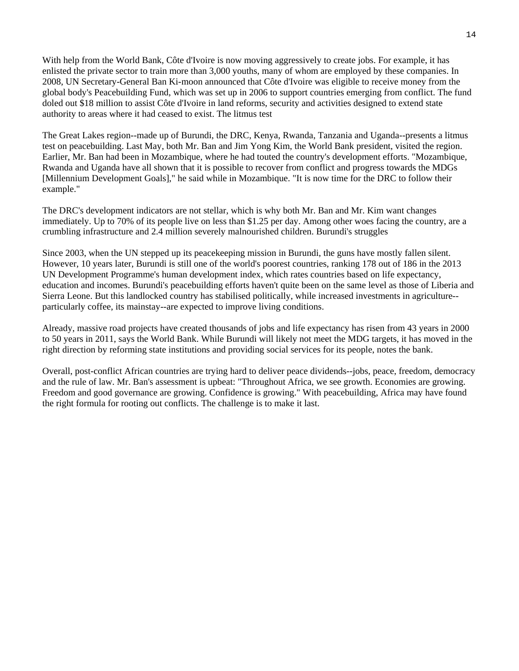With help from the World Bank, Côte d'Ivoire is now moving aggressively to create jobs. For example, it has enlisted the private sector to train more than 3,000 youths, many of whom are employed by these companies. In 2008, UN Secretary-General Ban Ki-moon announced that Côte d'Ivoire was eligible to receive money from the global body's Peacebuilding Fund, which was set up in 2006 to support countries emerging from conflict. The fund doled out \$18 million to assist Côte d'Ivoire in land reforms, security and activities designed to extend state authority to areas where it had ceased to exist. The litmus test

The Great Lakes region--made up of Burundi, the DRC, Kenya, Rwanda, Tanzania and Uganda--presents a litmus test on peacebuilding. Last May, both Mr. Ban and Jim Yong Kim, the World Bank president, visited the region. Earlier, Mr. Ban had been in Mozambique, where he had touted the country's development efforts. "Mozambique, Rwanda and Uganda have all shown that it is possible to recover from conflict and progress towards the MDGs [Millennium Development Goals]," he said while in Mozambique. "It is now time for the DRC to follow their example."

The DRC's development indicators are not stellar, which is why both Mr. Ban and Mr. Kim want changes immediately. Up to 70% of its people live on less than \$1.25 per day. Among other woes facing the country, are a crumbling infrastructure and 2.4 million severely malnourished children. Burundi's struggles

Since 2003, when the UN stepped up its peacekeeping mission in Burundi, the guns have mostly fallen silent. However, 10 years later, Burundi is still one of the world's poorest countries, ranking 178 out of 186 in the 2013 UN Development Programme's human development index, which rates countries based on life expectancy, education and incomes. Burundi's peacebuilding efforts haven't quite been on the same level as those of Liberia and Sierra Leone. But this landlocked country has stabilised politically, while increased investments in agriculture- particularly coffee, its mainstay--are expected to improve living conditions.

Already, massive road projects have created thousands of jobs and life expectancy has risen from 43 years in 2000 to 50 years in 2011, says the World Bank. While Burundi will likely not meet the MDG targets, it has moved in the right direction by reforming state institutions and providing social services for its people, notes the bank.

Overall, post-conflict African countries are trying hard to deliver peace dividends--jobs, peace, freedom, democracy and the rule of law. Mr. Ban's assessment is upbeat: "Throughout Africa, we see growth. Economies are growing. Freedom and good governance are growing. Confidence is growing." With peacebuilding, Africa may have found the right formula for rooting out conflicts. The challenge is to make it last.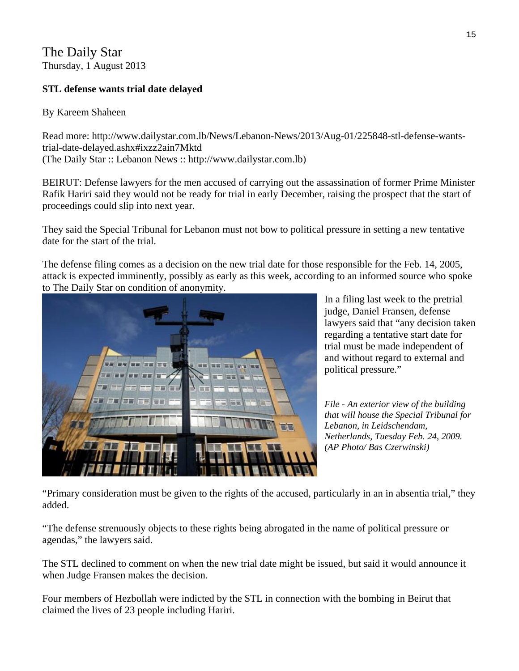The Daily Star Thursday, 1 August 2013

## **STL defense wants trial date delayed**

## By Kareem Shaheen

Read more: http://www.dailystar.com.lb/News/Lebanon-News/2013/Aug-01/225848-stl-defense-wantstrial-date-delayed.ashx#ixzz2ain7Mktd (The Daily Star :: Lebanon News :: http://www.dailystar.com.lb)

BEIRUT: Defense lawyers for the men accused of carrying out the assassination of former Prime Minister Rafik Hariri said they would not be ready for trial in early December, raising the prospect that the start of proceedings could slip into next year.

They said the Special Tribunal for Lebanon must not bow to political pressure in setting a new tentative date for the start of the trial.

The defense filing comes as a decision on the new trial date for those responsible for the Feb. 14, 2005, attack is expected imminently, possibly as early as this week, according to an informed source who spoke to The Daily Star on condition of anonymity.



lawyers said that "any decision taken In a filing last week to the pretrial judge, Daniel Fransen, defense regarding a tentative start date for trial must be made independent of and without regard to external and political pressure."

*File - An exterior view of the building that will house the Special Tribunal for Lebanon, in Leidschendam, Netherlands, Tuesday Feb. 24, 2009. (AP Photo/ Bas Czerwinski)* 

"Primary consideration must be given to the rights of the accused, particularly in an in absentia trial," they added.

"The defense strenuously objects to these rights being abrogated in the name of political pressure or agendas," the lawyers said.

The STL declined to comment on when the new trial date might be issued, but said it would announce it when Judge Fransen makes the decision.

Four members of Hezbollah were indicted by the STL in connection with the bombing in Beirut that claimed the lives of 23 people including Hariri.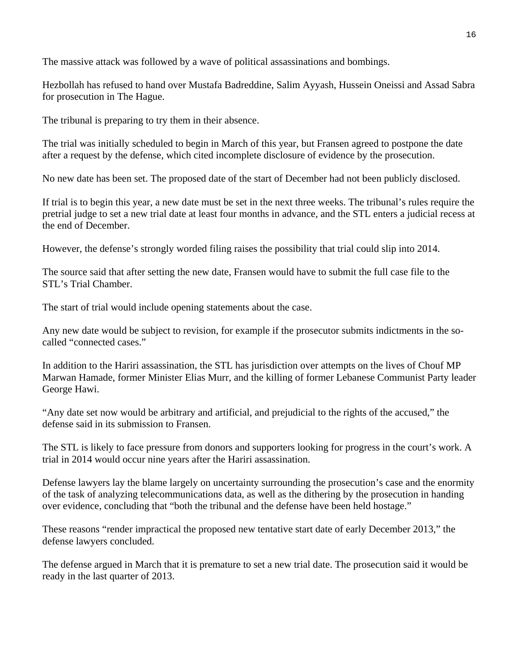The massive attack was followed by a wave of political assassinations and bombings.

Hezbollah has refused to hand over Mustafa Badreddine, Salim Ayyash, Hussein Oneissi and Assad Sabra for prosecution in The Hague.

The tribunal is preparing to try them in their absence.

The trial was initially scheduled to begin in March of this year, but Fransen agreed to postpone the date after a request by the defense, which cited incomplete disclosure of evidence by the prosecution.

No new date has been set. The proposed date of the start of December had not been publicly disclosed.

If trial is to begin this year, a new date must be set in the next three weeks. The tribunal's rules require the pretrial judge to set a new trial date at least four months in advance, and the STL enters a judicial recess at the end of December.

However, the defense's strongly worded filing raises the possibility that trial could slip into 2014.

The source said that after setting the new date, Fransen would have to submit the full case file to the STL's Trial Chamber.

The start of trial would include opening statements about the case.

Any new date would be subject to revision, for example if the prosecutor submits indictments in the socalled "connected cases."

In addition to the Hariri assassination, the STL has jurisdiction over attempts on the lives of Chouf MP Marwan Hamade, former Minister Elias Murr, and the killing of former Lebanese Communist Party leader George Hawi.

"Any date set now would be arbitrary and artificial, and prejudicial to the rights of the accused," the defense said in its submission to Fransen.

The STL is likely to face pressure from donors and supporters looking for progress in the court's work. A trial in 2014 would occur nine years after the Hariri assassination.

Defense lawyers lay the blame largely on uncertainty surrounding the prosecution's case and the enormity of the task of analyzing telecommunications data, as well as the dithering by the prosecution in handing over evidence, concluding that "both the tribunal and the defense have been held hostage."

These reasons "render impractical the proposed new tentative start date of early December 2013," the defense lawyers concluded.

The defense argued in March that it is premature to set a new trial date. The prosecution said it would be ready in the last quarter of 2013.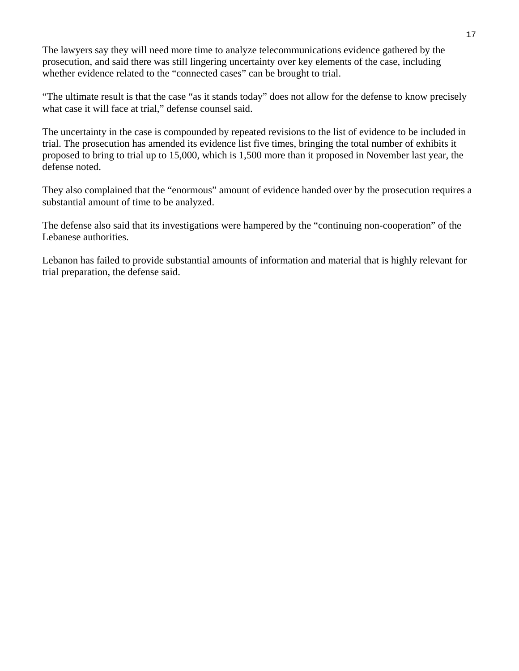The lawyers say they will need more time to analyze telecommunications evidence gathered by the prosecution, and said there was still lingering uncertainty over key elements of the case, including whether evidence related to the "connected cases" can be brought to trial.

"The ultimate result is that the case "as it stands today" does not allow for the defense to know precisely what case it will face at trial," defense counsel said.

The uncertainty in the case is compounded by repeated revisions to the list of evidence to be included in trial. The prosecution has amended its evidence list five times, bringing the total number of exhibits it proposed to bring to trial up to 15,000, which is 1,500 more than it proposed in November last year, the defense noted.

They also complained that the "enormous" amount of evidence handed over by the prosecution requires a substantial amount of time to be analyzed.

The defense also said that its investigations were hampered by the "continuing non-cooperation" of the Lebanese authorities.

Lebanon has failed to provide substantial amounts of information and material that is highly relevant for trial preparation, the defense said.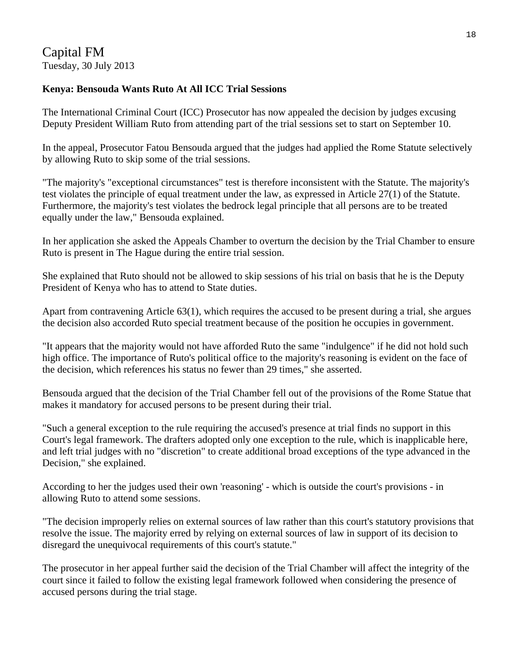## Capital FM Tuesday, 30 July 2013

## **Kenya: Bensouda Wants Ruto At All ICC Trial Sessions**

The International Criminal Court (ICC) Prosecutor has now appealed the decision by judges excusing Deputy President William Ruto from attending part of the trial sessions set to start on September 10.

In the appeal, Prosecutor Fatou Bensouda argued that the judges had applied the Rome Statute selectively by allowing Ruto to skip some of the trial sessions.

"The majority's "exceptional circumstances" test is therefore inconsistent with the Statute. The majority's test violates the principle of equal treatment under the law, as expressed in Article 27(1) of the Statute. Furthermore, the majority's test violates the bedrock legal principle that all persons are to be treated equally under the law," Bensouda explained.

In her application she asked the Appeals Chamber to overturn the decision by the Trial Chamber to ensure Ruto is present in The Hague during the entire trial session.

She explained that Ruto should not be allowed to skip sessions of his trial on basis that he is the Deputy President of Kenya who has to attend to State duties.

Apart from contravening Article 63(1), which requires the accused to be present during a trial, she argues the decision also accorded Ruto special treatment because of the position he occupies in government.

"It appears that the majority would not have afforded Ruto the same "indulgence" if he did not hold such high office. The importance of Ruto's political office to the majority's reasoning is evident on the face of the decision, which references his status no fewer than 29 times," she asserted.

Bensouda argued that the decision of the Trial Chamber fell out of the provisions of the Rome Statue that makes it mandatory for accused persons to be present during their trial.

"Such a general exception to the rule requiring the accused's presence at trial finds no support in this Court's legal framework. The drafters adopted only one exception to the rule, which is inapplicable here, and left trial judges with no "discretion" to create additional broad exceptions of the type advanced in the Decision," she explained.

According to her the judges used their own 'reasoning' - which is outside the court's provisions - in allowing Ruto to attend some sessions.

"The decision improperly relies on external sources of law rather than this court's statutory provisions that resolve the issue. The majority erred by relying on external sources of law in support of its decision to disregard the unequivocal requirements of this court's statute."

The prosecutor in her appeal further said the decision of the Trial Chamber will affect the integrity of the court since it failed to follow the existing legal framework followed when considering the presence of accused persons during the trial stage.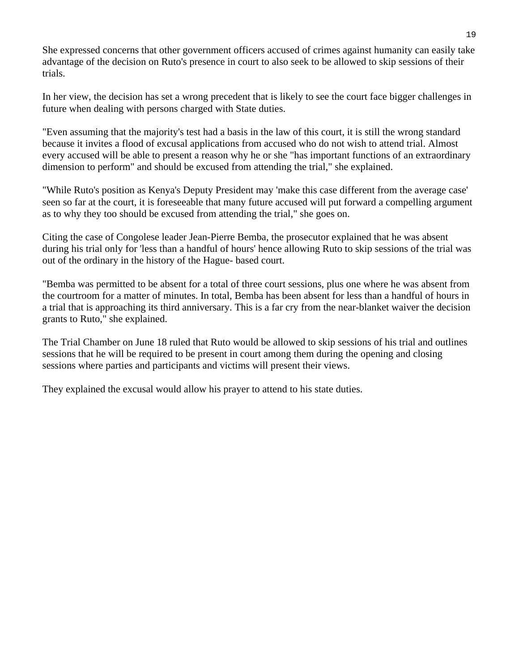She expressed concerns that other government officers accused of crimes against humanity can easily take advantage of the decision on Ruto's presence in court to also seek to be allowed to skip sessions of their trials.

In her view, the decision has set a wrong precedent that is likely to see the court face bigger challenges in future when dealing with persons charged with State duties.

"Even assuming that the majority's test had a basis in the law of this court, it is still the wrong standard because it invites a flood of excusal applications from accused who do not wish to attend trial. Almost every accused will be able to present a reason why he or she "has important functions of an extraordinary dimension to perform" and should be excused from attending the trial," she explained.

"While Ruto's position as Kenya's Deputy President may 'make this case different from the average case' seen so far at the court, it is foreseeable that many future accused will put forward a compelling argument as to why they too should be excused from attending the trial," she goes on.

Citing the case of Congolese leader Jean-Pierre Bemba, the prosecutor explained that he was absent during his trial only for 'less than a handful of hours' hence allowing Ruto to skip sessions of the trial was out of the ordinary in the history of the Hague- based court.

"Bemba was permitted to be absent for a total of three court sessions, plus one where he was absent from the courtroom for a matter of minutes. In total, Bemba has been absent for less than a handful of hours in a trial that is approaching its third anniversary. This is a far cry from the near-blanket waiver the decision grants to Ruto," she explained.

The Trial Chamber on June 18 ruled that Ruto would be allowed to skip sessions of his trial and outlines sessions that he will be required to be present in court among them during the opening and closing sessions where parties and participants and victims will present their views.

They explained the excusal would allow his prayer to attend to his state duties.